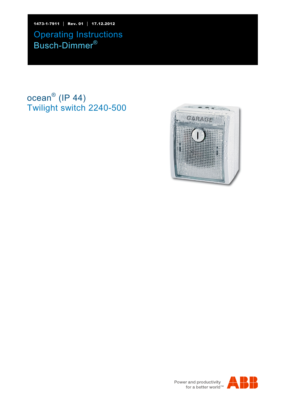1473-1-7911 │ Rev. 01 │ 17.12.2012 Operating Instructions Busch-Dimmer®

# ocean $^{\circledR}$  (IP 44) Twilight switch 2240-500





Power and productivity<br>for a better world<sup>™</sup>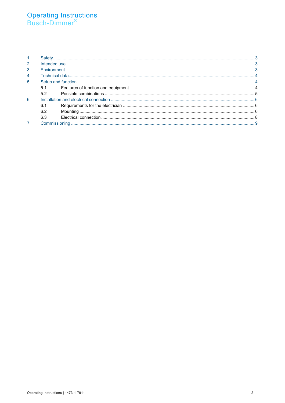| $\overline{1}$ |     |  |  |
|----------------|-----|--|--|
| 2              |     |  |  |
| 3              |     |  |  |
| $\overline{4}$ |     |  |  |
| 5              |     |  |  |
|                | 5.1 |  |  |
|                | 52  |  |  |
| 6              |     |  |  |
|                | 6.1 |  |  |
|                | 6.2 |  |  |
|                | 6.3 |  |  |
|                |     |  |  |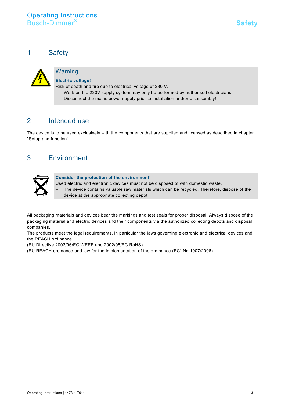<span id="page-2-0"></span>1 Safety



### Warning

#### **Electric voltage!**

Risk of death and fire due to electrical voltage of 230 V.

- Work on the 230V supply system may only be performed by authorised electricians!
- Disconnect the mains power supply prior to installation and/or disassembly!

### <span id="page-2-1"></span>2 Intended use

The device is to be used exclusively with the components that are supplied and licensed as described in chapter "Setup and function".

# <span id="page-2-2"></span>3 Environment



**Consider the protection of the environment!** 

- Used electric and electronic devices must not be disposed of with domestic waste.
	- The device contains valuable raw materials which can be recycled. Therefore, dispose of the device at the appropriate collecting depot.

All packaging materials and devices bear the markings and test seals for proper disposal. Always dispose of the packaging material and electric devices and their components via the authorized collecting depots and disposal companies.

The products meet the legal requirements, in particular the laws governing electronic and electrical devices and the REACH ordinance.

(EU Directive 2002/96/EC WEEE and 2002/95/EC RoHS)

(EU REACH ordinance and law for the implementation of the ordinance (EC) No.1907/2006)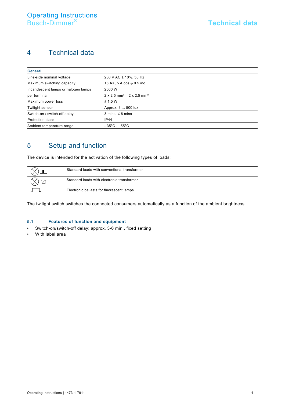# <span id="page-3-0"></span>4 Technical data

| <b>General</b>                      |                                                                 |  |  |  |  |
|-------------------------------------|-----------------------------------------------------------------|--|--|--|--|
| Line-side nominal voltage           | 230 V AC ± 10%, 50 Hz                                           |  |  |  |  |
| Maximum switching capacity          | 16 AX, 5 A $\cos \varphi$ 0.5 ind.                              |  |  |  |  |
| Incandescent lamps or halogen lamps | 2000 W                                                          |  |  |  |  |
| per terminal                        | $2 \times 2.5$ mm <sup>2</sup> – $2 \times 2.5$ mm <sup>2</sup> |  |  |  |  |
| Maximum power loss                  | $\leq$ 1.5 W                                                    |  |  |  |  |
| Twilight sensor                     | Approx. 3  500 lux                                              |  |  |  |  |
| Switch-on / switch-off delay        | $3 \text{ mins}$ . $\leq 6 \text{ mins}$                        |  |  |  |  |
| Protection class                    | <b>IP44</b>                                                     |  |  |  |  |
| Ambient temperature range           | $-35^{\circ}$ C $55^{\circ}$ C                                  |  |  |  |  |

# <span id="page-3-1"></span>5 Setup and function

The device is intended for the activation of the following types of loads:

| Standard loads with conventional transformer |
|----------------------------------------------|
| Standard loads with electronic transformer   |
| Electronic ballasts for fluorescent lamps    |

The twilight switch switches the connected consumers automatically as a function of the ambient brightness.

#### <span id="page-3-2"></span>5.1 Features of function and equipment

- Switch-on/switch-off delay: approx. 3-6 min., fixed setting
- With label area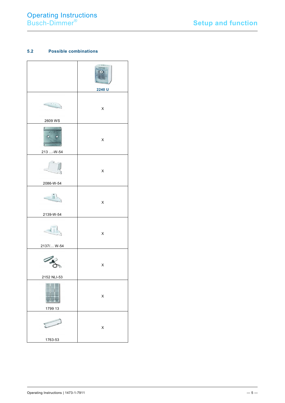#### <span id="page-4-0"></span>5.2 Possible combinations

|                         | GARAGE<br>$\overline{O}$<br>2240 U |
|-------------------------|------------------------------------|
|                         | X                                  |
| 2609 WS                 |                                    |
| $\mathbf{c}$<br>104 304 | X                                  |
| 213 -W-54               |                                    |
|                         | X                                  |
| 2086-W-54               |                                    |
| 2139-W-54               | X                                  |
|                         |                                    |
|                         | X                                  |
| 2137/ W-54              |                                    |
|                         | X                                  |
| 2152 NLI-53             |                                    |
|                         | X                                  |
| 1799 13                 |                                    |
|                         | X                                  |
| 1763-53                 |                                    |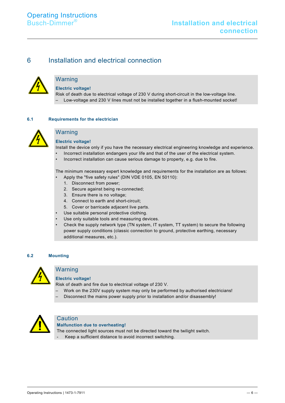### <span id="page-5-0"></span>6 Installation and electrical connection



#### Warning

**Electric voltage!**

Risk of death due to electrical voltage of 230 V during short-circuit in the low-voltage line. – Low-voltage and 230 V lines must not be installed together in a flush-mounted socket!

#### <span id="page-5-1"></span>**6.1 Requirements for the electrician**



## Warning

**Electric voltage!**

Install the device only if you have the necessary electrical engineering knowledge and experience.

- Incorrect installation endangers your life and that of the user of the electrical system.
- Incorrect installation can cause serious damage to property, e.g. due to fire.

The minimum necessary expert knowledge and requirements for the installation are as follows:

- Apply the "five safety rules" (DIN VDE 0105, EN 50110):
	- 1. Disconnect from power;
	- 2. Secure against being re-connected;
	- 3. Ensure there is no voltage;
	- 4. Connect to earth and short-circuit;
- 5. Cover or barricade adjacent live parts.
- Use suitable personal protective clothing.
- Use only suitable tools and measuring devices.
- Check the supply network type (TN system, IT system, TT system) to secure the following power supply conditions (classic connection to ground, protective earthing, necessary additional measures, etc.).

#### <span id="page-5-2"></span>**6.2 Mounting**



#### Warning

#### **Electric voltage!**

Risk of death and fire due to electrical voltage of 230 V.

- Work on the 230V supply system may only be performed by authorised electricians!
- Disconnect the mains power supply prior to installation and/or disassembly!



### **Caution**

#### **Malfunction due to overheating!**

The connected light sources must not be directed toward the twilight switch.

- Keep a sufficient distance to avoid incorrect switching.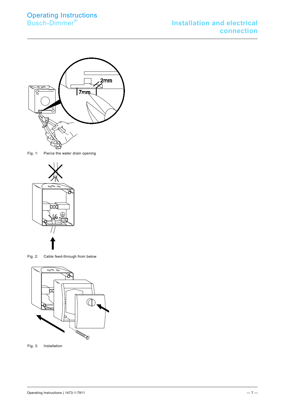

Fig. 1: Pierce the water drain opening



Fig. 2: Cable feed-through from below



Fig. 3: Installation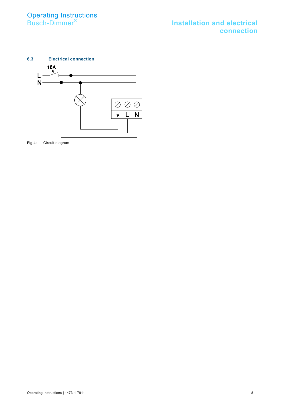<span id="page-7-0"></span>

Fig 4: Circuit diagram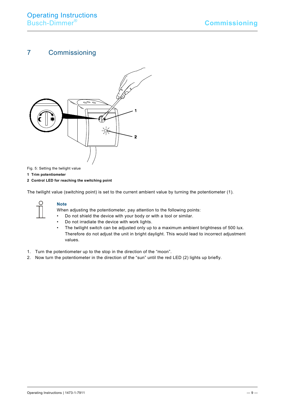# <span id="page-8-0"></span>7 Commissioning



Fig. 5: Setting the twilight value

**1 Trim potentiometer**

**2 Control LED for reaching the switching point**

The twilight value (switching point) is set to the current ambient value by turning the potentiometer (1).



#### **Note**

When adjusting the potentiometer, pay attention to the following points:

- Do not shield the device with your body or with a tool or similar.
- Do not irradiate the device with work lights.<br>• The twilight switch can be adiusted only up
- The twilight switch can be adjusted only up to a maximum ambient brightness of 500 lux. Therefore do not adjust the unit in bright daylight. This would lead to incorrect adjustment values.
- 1. Turn the potentiometer up to the stop in the direction of the "moon".
- 2. Now turn the potentiometer in the direction of the "sun" until the red LED (2) lights up briefly.